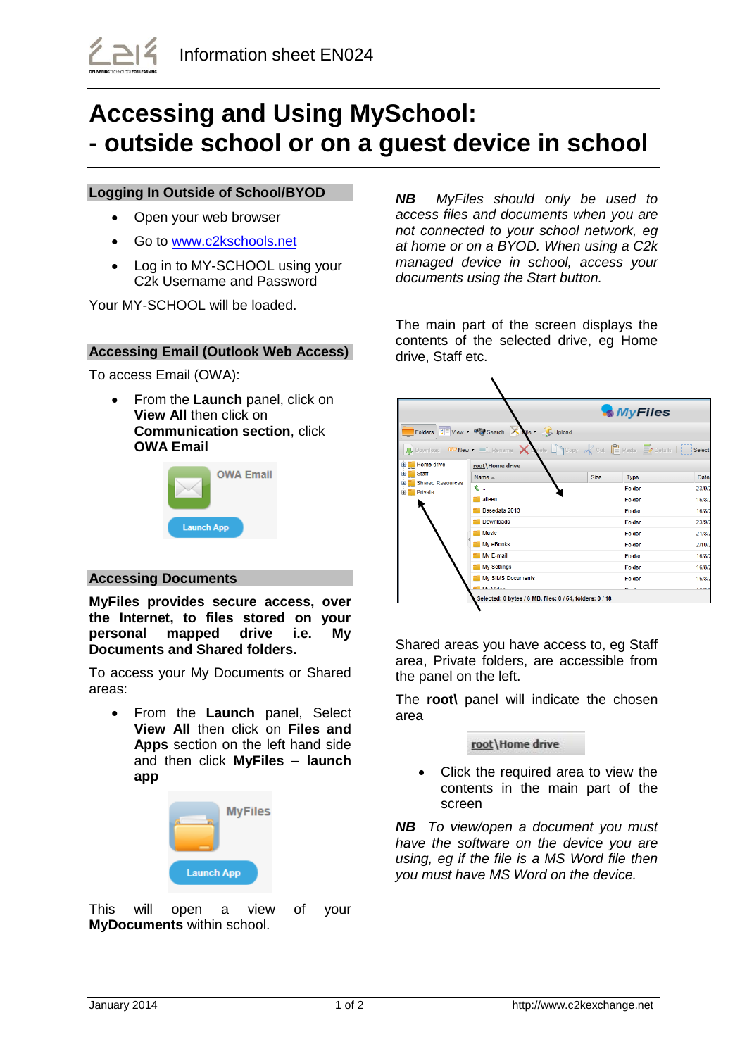# **Accessing and Using MySchool: - outside school or on a guest device in school**

## **Logging In Outside of School/BYOD**

- Open your web browser
- Go to [www.c2kschools.net](http://www.c2kschools.net/)
- Log in to MY-SCHOOL using your C2k Username and Password

Your MY-SCHOOL will be loaded.

# **Accessing Email (Outlook Web Access)**

To access Email (OWA):

 From the **Launch** panel, click on **View All** then click on **Communication section**, click **OWA Email**



## **Accessing Documents**

**MyFiles provides secure access, over the Internet, to files stored on your personal mapped drive i.e. My Documents and Shared folders.**

To access your My Documents or Shared areas:

 From the **Launch** panel, Select **View All** then click on **Files and Apps** section on the left hand side and then click **MyFiles – launch app**



This will open a view of your **MyDocuments** within school.

*NB MyFiles should only be used to access files and documents when you are not connected to your school network, eg at home or on a BYOD. When using a C2k managed device in school, access your documents using the Start button.*

The main part of the screen displays the contents of the selected drive, eg Home drive, Staff etc.

|                                                                               |                                                                       | <b>MyFiles</b>                                                                                                                         |        |  |
|-------------------------------------------------------------------------------|-----------------------------------------------------------------------|----------------------------------------------------------------------------------------------------------------------------------------|--------|--|
|                                                                               | Folders $\frac{1}{2}$ View - $\frac{1}{2}$ Search $\frac{1}{2}$ Wie - | Upload                                                                                                                                 |        |  |
|                                                                               |                                                                       | Download $\Box$ New $\bullet$ $\Box$ Rename $\bigtimes$ Mete $\Box$ Copy $\mathcal{O}_S$ Cut $\Box$ Paste $\Box$ Details $\Box$ Select |        |  |
| Home drive<br>E<br>Staff<br><b>Shared Resources</b><br>Private<br>$\pm$ $\pm$ | root\Home drive                                                       |                                                                                                                                        |        |  |
|                                                                               | Name $\triangle$                                                      | Size<br>Type                                                                                                                           | Date   |  |
|                                                                               | €.                                                                    | Folder                                                                                                                                 | 23/9/2 |  |
|                                                                               | aileen                                                                | Folder                                                                                                                                 | 16/8/2 |  |
|                                                                               | Basedata 2013                                                         | Folder                                                                                                                                 | 16/8/2 |  |
|                                                                               | Downloads                                                             | Folder                                                                                                                                 | 23/9/2 |  |
|                                                                               | <b>Music</b>                                                          | Folder                                                                                                                                 | 21/8/2 |  |
|                                                                               | My eBooks                                                             | Folder                                                                                                                                 | 2/10/2 |  |
|                                                                               | My E-mail                                                             | Folder                                                                                                                                 | 16/8/2 |  |
|                                                                               | <b>My Settings</b>                                                    | Folder                                                                                                                                 | 16/8/2 |  |
|                                                                               | My SIMS Documents                                                     | Folder                                                                                                                                 | 16/8/2 |  |
|                                                                               | <b>Markfidoo</b>                                                      | <b>Falder</b>                                                                                                                          | ACIOR  |  |
|                                                                               | Selected: 0 bytes / 6 MB, files: 0 / 54, folders: 0 / 18              |                                                                                                                                        |        |  |

Shared areas you have access to, eg Staff area, Private folders, are accessible from the panel on the left.

The **root\** panel will indicate the chosen area

#### root\Home drive

 Click the required area to view the contents in the main part of the screen

*NB To view/open a document you must have the software on the device you are using, eg if the file is a MS Word file then you must have MS Word on the device.*